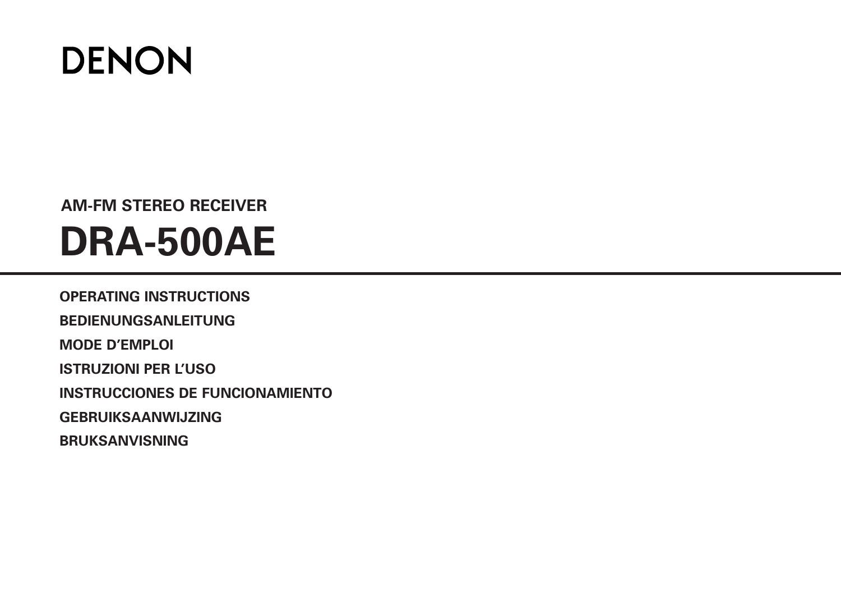

# **AM-FM STEREO RECEIVER DRA-500AE**

**OPERATING INSTRUCTIONS BEDIENUNGSANLEITUNG MODE D'EMPLOI ISTRUZIONI PER L'USO INSTRUCCIONES DE FUNCIONAMIENTO GEBRUIKSAANWIJZING BRUKSANVISNING**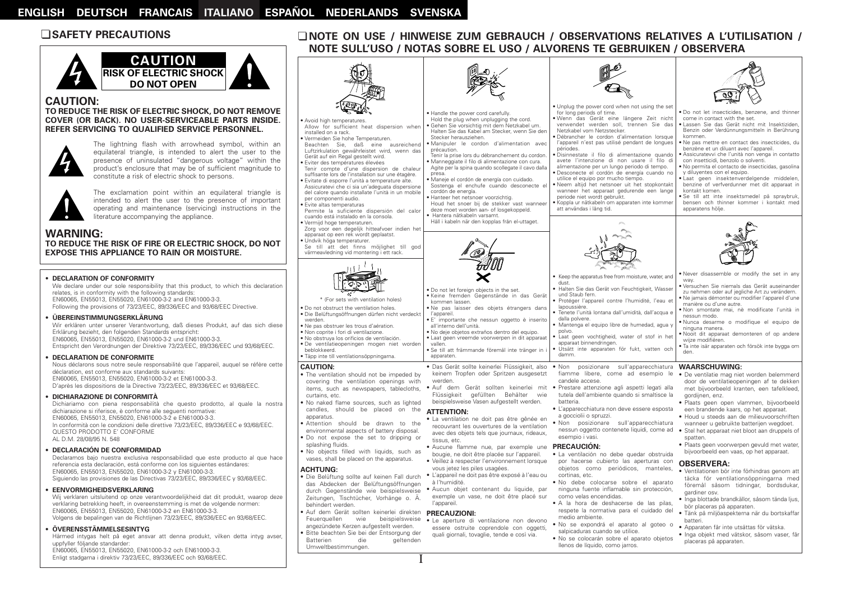# ¢**SAFETY PRECAUTIONS**



#### **CAUTION:**

#### **TO REDUCE THE RISK OF ELECTRIC SHOCK, DO NOT REMOVE COVER (OR BACK). NO USER-SERVICEABLE PARTS INSIDE. REFER SERVICING TO QUALIFIED SERVICE PERSONNEL.**



The lightning flash with arrowhead symbol, within an equilateral triangle, is intended to alert the user to the presence of uninsulated "dangerous voltage" within the product's enclosure that may be of sufficient magnitude to constitute a risk of electric shock to persons.



The exclamation point within an equilateral triangle is intended to alert the user to the presence of important operating and maintenance (servicing) instructions in the literature accompanying the appliance.

#### **WARNING:**

#### **TO REDUCE THE RISK OF FIRE OR ELECTRIC SHOCK, DO NOT EXPOSE THIS APPLIANCE TO RAIN OR MOISTURE.**

#### • **DECLARATION OF CONFORMITY**

We declare under our sole responsibility that this product, to which this declaration relates, is in conformity with the following standards: EN60065, EN55013, EN55020, EN61000-3-2 and EN61000-3-3. Following the provisions of 73/23/EEC, 89/336/EEC and 93/68/EEC Directive.

#### • **ÜBEREINSTIMMUNGSERKLÄRUNG**

Wir erklären unter unserer Verantwortung, daß dieses Produkt, auf das sich diese Erklärung bezieht, den folgenden Standards entspricht: EN60065, EN55013, EN55020, EN61000-3-2 und EN61000-3-3. Entspricht den Verordnungen der Direktive 73/23/EEC, 89/336/EEC und 93/68/EEC.

#### • **DECLARATION DE CONFORMITE**

Nous déclarons sous notre seule responsabilité que l'appareil, auquel se réfère cette déclaration, est conforme aux standards suivants: EN60065, EN55013, EN55020, EN61000-3-2 et EN61000-3-3. D'après les dispositions de la Directive 73/23/EEC, 89/336/EEC et 93/68/EEC.

#### • **DICHIARAZIONE DI CONFORMITÀ**

Dichiariamo con piena responsabilità che questo prodotto, al quale la nostra dichiarazione si riferisce, è conforme alle seguenti normative: EN60065, EN55013, EN55020, EN61000-3-2 e EN61000-3-3. In conformità con le condizioni delle direttive 73/23/EEC, 89/336/EEC e 93/68/EEC. QUESTO PRODOTTO E' CONFORME AL D.M. 28/08/95 N. 548

#### • **DECLARACIÓN DE CONFORMIDAD**

Declaramos bajo nuestra exclusiva responsabilidad que este producto al que hace referencia esta declaración, está conforme con los siguientes estándares: EN60065, EN55013, EN55020, EN61000-3-2 y EN61000-3-3. Siguiendo las provisiones de las Directivas 73/23/EEC, 89/336/EEC y 93/68/EEC.

#### • **EENVORMIGHEIDSVERKLARING**

Wij verklaren uitsluitend op onze verantwoordelijkheid dat dit produkt, waarop deze verklaring betrekking heeft, in overeenstemming is met de volgende normen: EN60065, EN55013, EN55020, EN61000-3-2 en EN61000-3-3. Volgens de bepalingen van de Richtlijnen 73/23/EEC, 89/336/EEC en 93/68/EEC.

• **ÖVERENSSTÄMMELSESINTYG**

Härmed intygas helt på eget ansvar att denna produkt, vilken detta intyg avser, uppfyller följande standarder: EN60065, EN55013, EN55020, EN61000-3-2 och EN61000-3-3. Enligt stadgarna i direktiv 73/23/EEC, 89/336/EEC och 93/68/EEC.

# ¢**NOTE ON USE / HINWEISE ZUM GEBRAUCH / OBSERVATIONS RELATIVES A L'UTILISATION / NOTE SULL'USO / NOTAS SOBRE EL USO / ALVORENS TE GEBRUIKEN / OBSERVERA**

|                                                                                                                                                                                                                                                                                                                                                                                                                                                                                                                                                                                                                                                                                                                   | . Handle the power cord carefully.                                                                                                                                                                                                                                                                                                                                                                                                                                                                                                                                                                                                                                                  | . Unplug the power cord when not using the set<br>for long periods of time.                                                                                                                                                                                                                                                                                                                                                                                                                                                                                                                                                                                                     | . Do not let insecticides, benzene, and thinner                                                                                                                                                                                                                                                                                                                                                                                                                                                                                                                                                                                                        |
|-------------------------------------------------------------------------------------------------------------------------------------------------------------------------------------------------------------------------------------------------------------------------------------------------------------------------------------------------------------------------------------------------------------------------------------------------------------------------------------------------------------------------------------------------------------------------------------------------------------------------------------------------------------------------------------------------------------------|-------------------------------------------------------------------------------------------------------------------------------------------------------------------------------------------------------------------------------------------------------------------------------------------------------------------------------------------------------------------------------------------------------------------------------------------------------------------------------------------------------------------------------------------------------------------------------------------------------------------------------------------------------------------------------------|---------------------------------------------------------------------------------------------------------------------------------------------------------------------------------------------------------------------------------------------------------------------------------------------------------------------------------------------------------------------------------------------------------------------------------------------------------------------------------------------------------------------------------------------------------------------------------------------------------------------------------------------------------------------------------|--------------------------------------------------------------------------------------------------------------------------------------------------------------------------------------------------------------------------------------------------------------------------------------------------------------------------------------------------------------------------------------------------------------------------------------------------------------------------------------------------------------------------------------------------------------------------------------------------------------------------------------------------------|
| · Avoid high temperatures.<br>Allow for sufficient heat dispersion when<br>installed on a rack.<br>· Vermeiden Sie hohe Temperaturen.<br>Beachten Sie, daß eine ausreichend<br>Luftzirkulation gewährleistet wird, wenn das<br>Gerät auf ein Regal gestellt wird.<br>· Eviter des températures élevées<br>Tenir compte d'une dispersion de chaleur<br>suffisante lors de l'installation sur une étagère.<br>· Evitate di esporre l'unità a temperature alte.<br>Assicuratevi che ci sia un'adequata dispersione<br>del calore quando installate l'unità in un mobile<br>per componenti audio.<br>· Evite altas temperaturas<br>Permite la suficiente dispersión del calor<br>cuando está instalado en la consola. | Hold the plug when unplugging the cord.<br>· Gehen Sie vorsichtig mit dem Netzkabel um.<br>Halten Sie das Kabel am Stecker, wenn Sie den<br>Stecker herausziehen.<br>· Manipuler le cordon d'alimentation avec<br>précaution.<br>Tenir la prise lors du débranchement du cordon.<br>· Manneggiate il filo di alimentazione con cura.<br>Agite per la spina quando scollegate il cavo dalla<br>presa.<br>· Maneje el cordón de energía con cuidado.<br>Sostenga el enchufe cuando desconecte el<br>cordón de energía.<br>· Hanteer het netsnoer voorzichtig.<br>Houd het snoer bij de stekker vast wanneer<br>deze moet worden aan- of losgekoppeld.<br>· Hantera nätkabeln varsamt. | · Wenn das Gerät eine längere Zeit nicht<br>verwendet werden soll, trennen Sie das<br>Netzkabel vom Netzstecker.<br>· Débrancher le cordon d'alimentation lorsque<br>l'appareil n'est pas utilisé pendant de longues<br>périodes.<br>· Disinnestate il filo di alimentazione quando<br>avete l'intenzione di non usare il filo di<br>alimentazione per un lungo periodo di tempo.<br>Desconecte el cordón de energía cuando no<br>utilice el equipo por mucho tiempo.<br>· Neem altijd het netsnoer uit het stopkontakt<br>wanneer het apparaat gedurende een lange<br>periode niet wordt gebruikt.<br>Koppla ur nätkabeln om apparaten inte kommer<br>att användas i lång tid. | come in contact with the set.<br>· Lassen Sie das Gerät nicht mit Insektiziden,<br>Benzin oder Verdünnungsmitteln in Berührung<br>kommen.<br>· Ne pas mettre en contact des insecticides, du<br>benzène et un diluant avec l'appareil.<br>· Assicuratevvi che l'unità non venga in contatto<br>con insetticidi, benzolo o solventi.<br>· No permita el contacto de insecticidas, gasolina<br>y diluyentes con el equipo.<br>Laat geen insektenverdelgende middelen,<br>benzine of verfverdunner met dit apparaat in<br>kontakt komen.<br>· Se till att inte insektsmedel på spraybruk,<br>bensen och thinner kommer i kontakt med<br>apparatens hölje. |
| · Vermijd hoge temperaturen.<br>Zorg voor een degelijk hitteafvoer indien het<br>apparaat op een rek wordt geplaatst.<br>· Undvik höga temperaturer.<br>Se till att det finns möjlighet till god<br>värmeavledning vid montering i ett rack.                                                                                                                                                                                                                                                                                                                                                                                                                                                                      | Håll i kabeln när den kopplas från el-uttaget.                                                                                                                                                                                                                                                                                                                                                                                                                                                                                                                                                                                                                                      |                                                                                                                                                                                                                                                                                                                                                                                                                                                                                                                                                                                                                                                                                 |                                                                                                                                                                                                                                                                                                                                                                                                                                                                                                                                                                                                                                                        |
| * (For sets with ventilation holes)<br>. Do not obstruct the ventilation holes.<br>· Die Belüftungsöffnungen dürfen nicht verdeckt<br>werden.<br>· Ne pas obstruer les trous d'aération.<br>· Non coprite i fori di ventilazione.<br>· No obstruya los orificios de ventilación.<br>· De ventilatieopeningen mogen niet worden<br>beblokkeerd.<br>· Täpp inte till ventilationsöppningarna.                                                                                                                                                                                                                                                                                                                       | . Do not let foreign objects in the set.<br>· Keine fremden Gegenstände in das Gerät<br>kommen lassen.<br>· Ne pas laisser des objets étrangers dans<br>l'appareil.<br>· E' importante che nessun oggetto è inserito<br>all'interno dell'unità.<br>· No deje objetos extraños dentro del equipo.<br>· Laat geen vreemde voorwerpen in dit apparaat<br>vallen.<br>· Se till att främmande föremål inte tränger in i<br>apparaten.                                                                                                                                                                                                                                                    | • Keep the apparatus free from moisture, water, and<br>dust.<br>· Halten Sie das Gerät von Feuchtigkeit, Wasser<br>und Staub fern.<br>· Protéger l'appareil contre l'humidité, l'eau et<br>lapoussière.<br>· Tenete l'unità lontana dall'umidità, dall'acqua e<br>dalla polvere.<br>Mantenga el equipo libre de humedad, agua y<br>polvo.<br>· Laat geen vochtigheid, water of stof in het<br>apparaat binnendringen.<br>Utsätt inte apparaten för fukt, vatten och<br>damm.                                                                                                                                                                                                    | . Never disassemble or modify the set in any<br>way.<br>· Versuchen Sie niemals das Gerät auseinander<br>zu nehmen oder auf jegliche Art zu verändern.<br>Ne jamais démonter ou modifier l'appareil d'une<br>manière ou d'une autre.<br>· Non smontate mai, nè modificate l'unità in<br>nessun modo.<br>Nunca desarme o modifique el equipo de<br>ninguna manera.<br>Nooit dit apparaat demonteren of op andere<br>wiize modifiëren.<br>· Ta inte isär apparaten och försök inte bygga om<br>den.                                                                                                                                                      |
| <b>CAUTION:</b><br>. The ventilation should not be impeded by<br>covering the ventilation openings with<br>curtains, etc.<br>. No naked flame sources, such as lighted<br>candles, should be placed on the<br>apparatus.<br>· Attention should be drawn to the<br>environmental aspects of battery disposal.<br>. Do not expose the set to dripping or<br>splashing fluids.<br>. No objects filled with liquids, such as                                                                                                                                                                                                                                                                                          | keinem Tropfen oder Spritzen ausgesetzt<br>werden.<br>items, such as newspapers, tablecloths, · Auf dem Gerät sollten keinerlei mit · Prestare attenzione agli aspetti legati alla<br>Flüssigkeit gefüllten Behälter wie<br>beispielsweise Vasen aufgestellt werden.<br><b>ATTENTION:</b><br>· La ventilation ne doit pas être gênée en<br>recouvrant les ouvertures de la ventilation<br>avec des objets tels que journaux, rideaux,<br>tissus, etc.<br>• Aucune flamme nue, par exemple une<br>bougie, ne doit être placée sur l'appareil.                                                                                                                                        | • Das Gerät sollte keinerlei Flüssigkeit, also • Non posizionare sull'apparecchiatura WAARSCHUWING:<br>fiamme libere, come ad esempio le<br>candele accese.<br>tutela dell'ambiente quando si smaltisce la<br>batteria.<br>· L'apparecchiatura non deve essere esposta<br>a gocciolii o spruzzi.<br>· Non posizionare sull'apparecchiatura<br>nessun oggetto contenete liquidi, come ad<br>esempio i vasi.<br><b>PRECAUCIÓN:</b><br>· La ventilación no debe quedar obstruida                                                                                                                                                                                                   | • De ventilatie mag niet worden belemmerd<br>door de ventilatieopeningen af te dekken<br>met bijvoorbeeld kranten, een tafelkleed,<br>gordijnen, enz.<br>· Plaats geen open vlammen, bijvoorbeeld<br>een brandende kaars, op het apparaat.<br>· Houd u steeds aan de milieuvoorschriften<br>wanneer u gebruikte batterijen wegdoet.<br>• Stel het apparaat niet bloot aan druppels of<br>spatten.<br>· Plaats geen voorwerpen gevuld met water,<br>bijvoorbeeld een vaas, op het apparaat.                                                                                                                                                             |
| vases, shall be placed on the apparatus.<br><b>ACHTUNG:</b><br>· Die Belüftung sollte auf keinen Fall durch<br>das Abdecken der Belüftungsöffnungen<br>durch Gegenstände wie beispielsweise<br>Zeitungen, Tischtücher, Vorhänge o. Ä.<br>behindert werden.<br>• Auf dem Gerät sollten keinerlei direkten<br>Feuerauellen<br>wie<br>beispielsweise<br>angezündete Kerzen aufgestellt werden.<br>· Bitte beachten Sie bei der Entsorgung der<br><b>Batterien</b><br>die<br>geltenden                                                                                                                                                                                                                                | · Veillez à respecter l'environnement lorsque<br>vous jetez les piles usagées.<br>· L'appareil ne doit pas être exposé à l'eau ou<br>à l'humidité.<br>· Aucun objet contenant du liquide, par<br>exemple un vase, ne doit être placé sur<br>l'appareil.<br><b>PRECAUZIONI:</b><br>· Le aperture di ventilazione non devono<br>essere ostruite coprendole con oggetti,<br>quali giornali, tovaglie, tende e così via.                                                                                                                                                                                                                                                                | por hacerse cubierto las aperturas con<br>objetos como periódicos, manteles,<br>cortinas, etc.<br>· No debe colocarse sobre el aparato<br>ninguna fuente inflamable sin protección,<br>como velas encendidas.<br>• A la hora de deshacerse de las pilas,<br>respete la normativa para el cuidado del<br>medio ambiente.<br>· No se expondrá el aparato al goteo o<br>salpicaduras cuando se utilice.<br>· No se colocarán sobre el aparato objetos                                                                                                                                                                                                                              | <b>OBSERVERA:</b><br>· Ventilationen bör inte förhindras genom att<br>täcka för ventilationsöppningarna med<br>föremål såsom tidningar, bordsdukar,<br>gardiner osv.<br>· Inga blottade brandkällor, såsom tända ljus,<br>bör placeras på apparaten.<br>· Tänk på miljöaspekterna när du bortskaffar<br>batteri.<br>· Apparaten får inte utsättas för vätska.<br>· Inga objekt med vätskor, såsom vaser, får<br>placeras på apparaten.                                                                                                                                                                                                                 |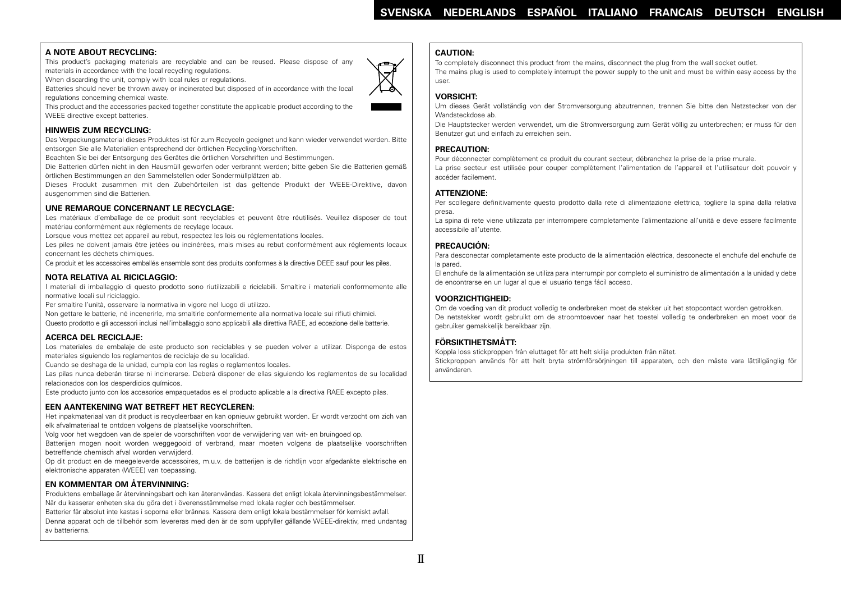# **A NOTE ABOUT RECYCLING:**

This product's packaging materials are recyclable and can be reused. Please dispose of any materials in accordance with the local recycling regulations.

When discarding the unit, comply with local rules or regulations.

Batteries should never be thrown away or incinerated but disposed of in accordance with the local regulations concerning chemical waste.

This product and the accessories packed together constitute the applicable product according to the WEEE directive except batteries.

# **HINWEIS ZUM RECYCLING:**

Das Verpackungsmaterial dieses Produktes ist für zum Recyceln geeignet und kann wieder verwendet werden. Bitte entsorgen Sie alle Materialien entsprechend der örtlichen Recycling-Vorschriften.

Beachten Sie bei der Entsorgung des Gerätes die örtlichen Vorschriften und Bestimmungen.

Die Batterien dürfen nicht in den Hausmüll geworfen oder verbrannt werden; bitte geben Sie die Batterien gemäß örtlichen Bestimmungen an den Sammelstellen oder Sondermüllplätzen ab.

Dieses Produkt zusammen mit den Zubehörteilen ist das geltende Produkt der WEEE-Direktive, davon ausgenommen sind die Batterien.

# **UNE REMARQUE CONCERNANT LE RECYCLAGE:**

Les matériaux d'emballage de ce produit sont recyclables et peuvent être réutilisés. Veuillez disposer de tout matériau conformément aux réglements de recylage locaux.

Lorsque vous mettez cet appareil au rebut, respectez les lois ou réglementations locales.

Les piles ne doivent jamais être jetées ou incinérées, mais mises au rebut conformément aux réglements locaux concernant les déchets chimiques.

Ce produit et les accessoires emballés ensemble sont des produits conformes à la directive DEEE sauf pour les piles.

# **NOTA RELATIVA AL RICICLAGGIO:**

I materiali di imballaggio di questo prodotto sono riutilizzabili e riciclabili. Smaltire i materiali conformemente alle normative locali sul riciclaggio.

Per smaltire l'unità, osservare la normativa in vigore nel luogo di utilizzo.

Non gettare le batterie, né incenerirle, ma smaltirle conformemente alla normativa locale sui rifiuti chimici. Questo prodotto e gli accessori inclusi nell'imballaggio sono applicabili alla direttiva RAEE, ad eccezione delle batterie.

# **ACERCA DEL RECICLAJE:**

Los materiales de embalaje de este producto son reciclables y se pueden volver a utilizar. Disponga de estos materiales siguiendo los reglamentos de reciclaje de su localidad.

Cuando se deshaga de la unidad, cumpla con las reglas o reglamentos locales.

Las pilas nunca deberán tirarse ni incinerarse. Deberá disponer de ellas siguiendo los reglamentos de su localidad relacionados con los desperdicios químicos.

Este producto junto con los accesorios empaquetados es el producto aplicable a la directiva RAEE excepto pilas.

# **EEN AANTEKENING WAT BETREFT HET RECYCLEREN:**

Het inpakmateriaal van dit product is recycleerbaar en kan opnieuw gebruikt worden. Er wordt verzocht om zich van elk afvalmateriaal te ontdoen volgens de plaatselijke voorschriften.

Volg voor het wegdoen van de speler de voorschriften voor de verwijdering van wit- en bruingoed op.

Batterijen mogen nooit worden weggegooid of verbrand, maar moeten volgens de plaatselijke voorschriften betreffende chemisch afval worden verwijderd.

Op dit product en de meegeleverde accessoires, m.u.v. de batterijen is de richtlijn voor afgedankte elektrische en elektronische apparaten (WEEE) van toepassing.

# **EN KOMMENTAR OM ÅTERVINNING:**

Produktens emballage är återvinningsbart och kan återanvändas. Kassera det enligt lokala återvinningsbestämmelser. När du kasserar enheten ska du göra det i överensstämmelse med lokala regler och bestämmelser.

Batterier får absolut inte kastas i soporna eller brännas. Kassera dem enligt lokala bestämmelser för kemiskt avfall. Denna apparat och de tillbehör som levereras med den är de som uppfyller gällande WEEE-direktiv, med undantag av batterierna.

#### **CAUTION:**

To completely disconnect this product from the mains, disconnect the plug from the wall socket outlet. The mains plug is used to completely interrupt the power supply to the unit and must be within easy access by the user.

#### **VORSICHT:**

Um dieses Gerät vollständig von der Stromversorgung abzutrennen, trennen Sie bitte den Netzstecker von der Wandsteckdose ab.

Die Hauptstecker werden verwendet, um die Stromversorgung zum Gerät völlig zu unterbrechen; er muss für den Benutzer gut und einfach zu erreichen sein.

#### **PRECAUTION:**

Pour déconnecter complètement ce produit du courant secteur, débranchez la prise de la prise murale. La prise secteur est utilisée pour couper complètement l'alimentation de l'appareil et l'utilisateur doit pouvoir y accéder facilement.

## **ATTENZIONE:**

Per scollegare definitivamente questo prodotto dalla rete di alimentazione elettrica, togliere la spina dalla relativa presa.

La spina di rete viene utilizzata per interrompere completamente l'alimentazione all'unità e deve essere facilmente accessibile all'utente.

## **PRECAUCIÓN:**

Para desconectar completamente este producto de la alimentación eléctrica, desconecte el enchufe del enchufe de la pared.

El enchufe de la alimentación se utiliza para interrumpir por completo el suministro de alimentación a la unidad y debe de encontrarse en un lugar al que el usuario tenga fácil acceso.

## **VOORZICHTIGHEID:**

Om de voeding van dit product volledig te onderbreken moet de stekker uit het stopcontact worden getrokken. De netstekker wordt gebruikt om de stroomtoevoer naar het toestel volledig te onderbreken en moet voor de gebruiker gemakkelijk bereikbaar zijn.

# **FÖRSIKTIHETSMÅTT:**

Koppla loss stickproppen från eluttaget för att helt skilja produkten från nätet.

Stickproppen används för att helt bryta strömförsörjningen till apparaten, och den måste vara lättillgänglig för användaren.



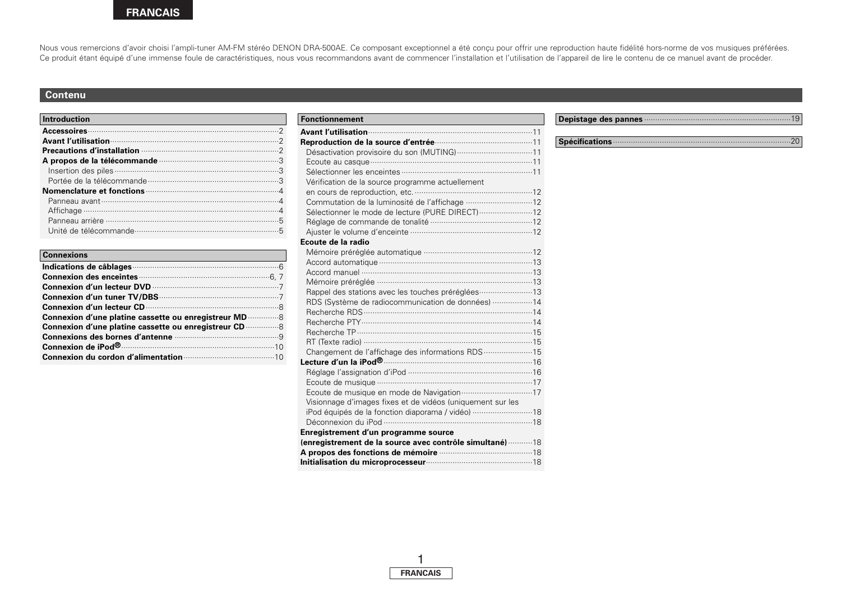Nous vous remercions d'avoir choisi l'ampli-tuner AM-FM stéréo DENON DRA-500AE. Ce composant exceptionnel a été conçu pour offrir une reproduction haute fidélité hors-norme de vos musiques préférées. Ce produit étant équipé d'une immense foule de caractéristiques, nous vous recommandons avant de commencer l'installation et l'utilisation de l'appareil de lire le contenu de ce manuel avant de procéder.

## **Contenu**

| <b>Introduction</b> |  |  |
|---------------------|--|--|
|                     |  |  |
|                     |  |  |
|                     |  |  |
|                     |  |  |
|                     |  |  |
|                     |  |  |
|                     |  |  |
|                     |  |  |
|                     |  |  |
|                     |  |  |
|                     |  |  |

| <b>Connexions</b>                                                                                                      |
|------------------------------------------------------------------------------------------------------------------------|
| Indications de câblages <b>communications</b> of capacitations of capacitations of capacitations of capacitations of c |
|                                                                                                                        |
|                                                                                                                        |
|                                                                                                                        |
|                                                                                                                        |
| Connexion d'une platine cassette ou enregistreur MD  8                                                                 |
| Connexion d'une platine cassette ou enregistreur CD                                                                    |
|                                                                                                                        |
|                                                                                                                        |
|                                                                                                                        |

| <b>Fonctionnement</b>                                      |  |
|------------------------------------------------------------|--|
|                                                            |  |
|                                                            |  |
| Désactivation provisoire du son (MUTING) 11                |  |
|                                                            |  |
|                                                            |  |
| Vérification de la source programme actuellement           |  |
|                                                            |  |
| Commutation de la luminosité de l'affichage 12             |  |
| Sélectionner le mode de lecture (PURE DIRECT)  12          |  |
|                                                            |  |
|                                                            |  |
| Ecoute de la radio                                         |  |
|                                                            |  |
|                                                            |  |
|                                                            |  |
|                                                            |  |
| Rappel des stations avec les touches préréglées 13         |  |
| RDS (Système de radiocommunication de données) 14          |  |
|                                                            |  |
|                                                            |  |
|                                                            |  |
| RT (Texte radio) ……………………………………………………………………15              |  |
| Changement de l'affichage des informations RDS 15          |  |
|                                                            |  |
|                                                            |  |
|                                                            |  |
| Ecoute de musique en mode de Navigation 17                 |  |
| Visionnage d'images fixes et de vidéos (uniquement sur les |  |
| iPod équipés de la fonction diaporama / vidéo) 18          |  |
|                                                            |  |
| Enregistrement d'un programme source                       |  |
| (enregistrement de la source avec contrôle simultané)  18  |  |
| A propos des fonctions de mémoire <b>communication</b> 18  |  |
|                                                            |  |

### **Depistage des pannes** ··································································19

### **Spécifications**················································································20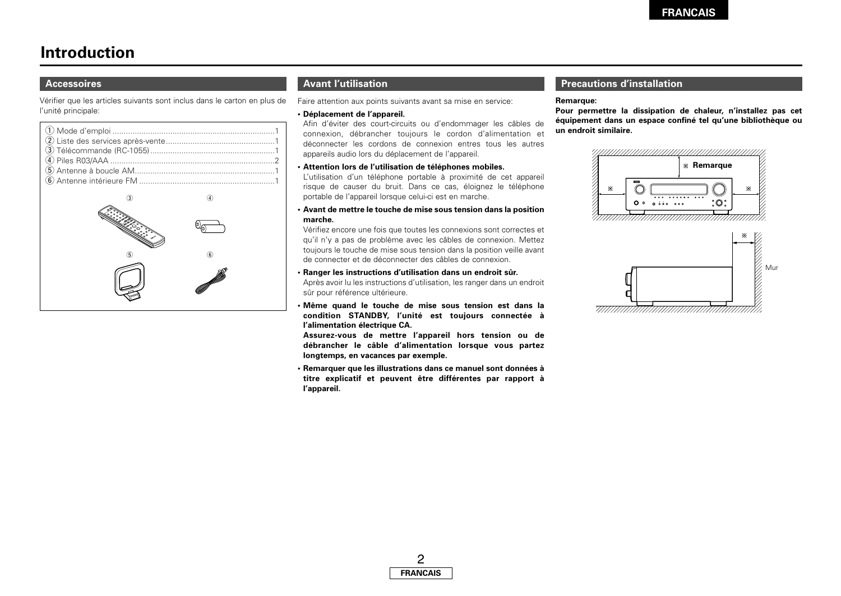# **Introduction**

### **Accessoires**

Vérifier que les articles suivants sont inclus dans le carton en plus de l'unité principale:



# **Avant l'utilisation**

Faire attention aux points suivants avant sa mise en service:

#### **• Déplacement de l'appareil.**

Afin d'éviter des court-circuits ou d'endommager les câbles de connexion, débrancher toujours le cordon d'alimentation et déconnecter les cordons de connexion entres tous les autres appareils audio lors du déplacement de l'appareil. q Mode d'emploi .........................................................................1 **un endroit similaire.**

#### **• Attention lors de l'utilisation de téléphones mobiles.**

L'utilisation d'un téléphone portable à proximité de cet appareil risque de causer du bruit. Dans ce cas, éloignez le téléphone portable de l'appareil lorsque celui-ci est en marche.

#### **• Avant de mettre le touche de mise sous tension dans la position marche.**

Vérifiez encore une fois que toutes les connexions sont correctes et qu'il n'y a pas de problème avec les câbles de connexion. Mettez toujours le touche de mise sous tension dans la position veille avant de connecter et de déconnecter des câbles de connexion.

#### **• Ranger les instructions d'utilisation dans un endroit sûr.**

Après avoir lu les instructions d'utilisation, les ranger dans un endroit sûr pour référence ultérieure.

**• Même quand le touche de mise sous tension est dans la condition STANDBY, l'unité est toujours connectée à l'alimentation électrique CA.**

**Assurez-vous de mettre l'appareil hors tension ou de débrancher le câble d'alimentation lorsque vous partez longtemps, en vacances par exemple.**

**• Remarquer que les illustrations dans ce manuel sont données à titre explicatif et peuvent être différentes par rapport à l'appareil.**

## **Precautions d'installation**

#### **Remarque:**

**Pour permettre la dissipation de chaleur, n'installez pas cet équipement dans un espace confiné tel qu'une bibliothèque ou**



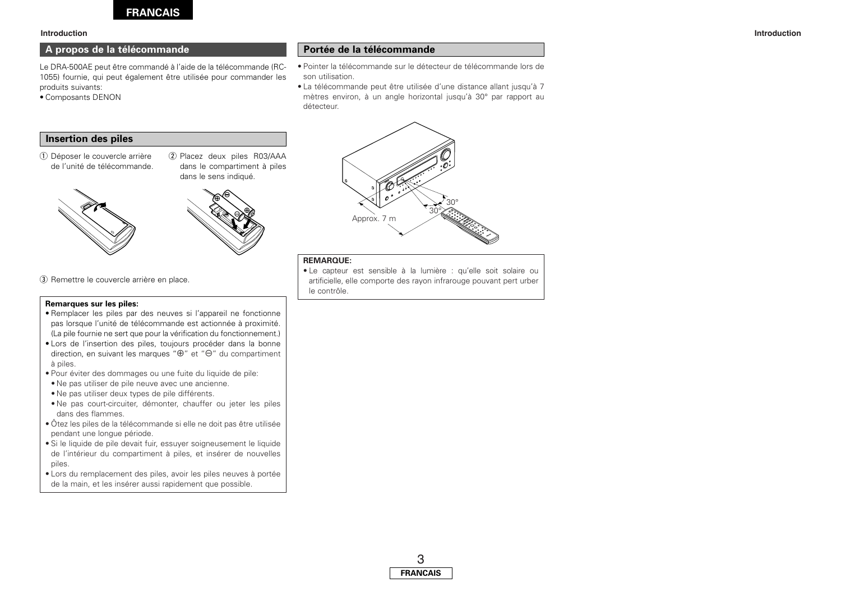

## **A propos de la télécommande**

Le DRA-500AE peut être commandé à l'aide de la télécommande (RC-1055) fournie, qui peut également être utilisée pour commander les produits suivants:

• Composants DENON

#### **Portée de la télécommande**

- Pointer la télécommande sur le détecteur de télécommande lors de son utilisation.
- La télécommande peut être utilisée d'une distance allant jusqu'à 7 mètres environ, à un angle horizontal jusqu'à 30° par rapport au détecteur.

#### **Insertion des piles**

- (1) Déposer le couvercle arrière de l'unité de télécommande.
- (2) Placez deux piles R03/AAA dans le compartiment à piles dans le sens indiqué.







# **REMARQUE:**

• Le capteur est sensible à la lumière : qu'elle soit solaire ou artificielle, elle comporte des rayon infrarouge pouvant pert urber le contrôle.

3 Remettre le couvercle arrière en place.

#### **Remarques sur les piles:**

- Remplacer les piles par des neuves si l'appareil ne fonctionne pas lorsque l'unité de télécommande est actionnée à proximité. (La pile fournie ne sert que pour la vérification du fonctionnement.)
- Lors de l'insertion des piles, toujours procéder dans la bonne direction, en suivant les marques " $\oplus$ " et " $\ominus$ " du compartiment à piles.
- Pour éviter des dommages ou une fuite du liquide de pile:
- Ne pas utiliser de pile neuve avec une ancienne.
- Ne pas utiliser deux types de pile différents.
- Ne pas court-circuiter, démonter, chauffer ou jeter les piles dans des flammes.
- Ôtez les piles de la télécommande si elle ne doit pas être utilisée pendant une longue période.
- Si le liquide de pile devait fuir, essuyer soigneusement le liquide de l'intérieur du compartiment à piles, et insérer de nouvelles piles.
- Lors du remplacement des piles, avoir les piles neuves à portée de la main, et les insérer aussi rapidement que possible.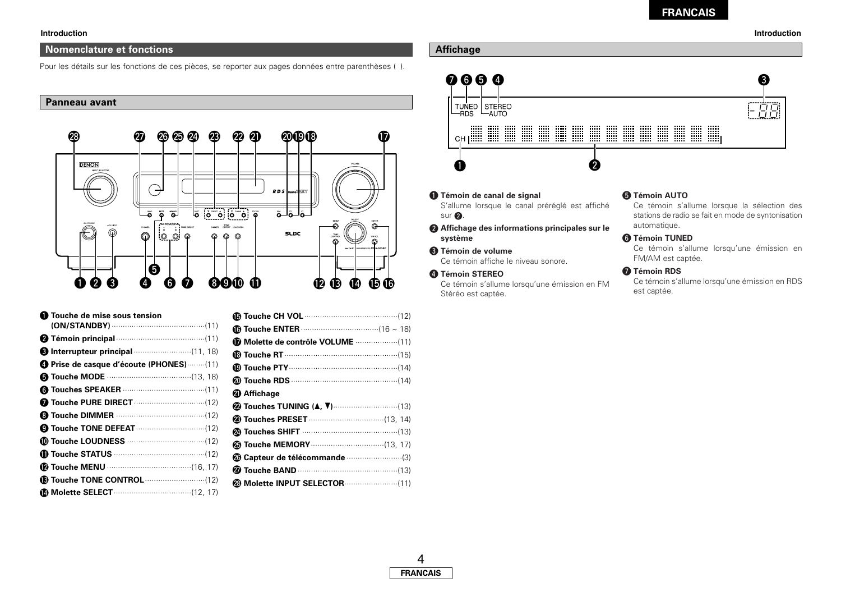#### **Nomenclature et fonctions**

Pour les détails sur les fonctions de ces pièces, se reporter aux pages données entre parenthèses ( ).

#### **Panneau avant**



| <b>D</b> Touche de mise sous tension                      |
|-----------------------------------------------------------|
|                                                           |
| <b>6</b> Interrupteur principal <b>container</b> (11, 18) |
| Prise de casque d'écoute (PHONES) (11)                    |
|                                                           |
|                                                           |
|                                                           |
|                                                           |
|                                                           |
|                                                           |
|                                                           |
|                                                           |
|                                                           |
|                                                           |

| <b>40</b> Affichage                                     |  |
|---------------------------------------------------------|--|
| <b><sup>2</sup></b> Touches TUNING (▲, ▼)…………………………(13) |  |
|                                                         |  |
|                                                         |  |
|                                                         |  |
|                                                         |  |
|                                                         |  |
|                                                         |  |
|                                                         |  |

## **Affichage**



q **Témoin de canal de signal**

S'allume lorsque le canal préréglé est affiché  $sur$   $2.$ 

**<sup>** $\odot$ **</sup> Affichage des informations principales sur le système**

#### e **Témoin de volume** Ce témoin affiche le niveau sonore.

**4** Témoin STEREO Ce témoin s'allume lorsqu'une émission en FM Stéréo est captée.

#### **6** Témoin AUTO

Ce témoin s'allume lorsque la sélection des stations de radio se fait en mode de syntonisation automatique.

#### **6** Témoin TUNED

Ce témoin s'allume lorsqu'une émission en FM/AM est captée.

#### $\bigcirc$  Témoin RDS

Ce témoin s'allume lorsqu'une émission en RDS est captée.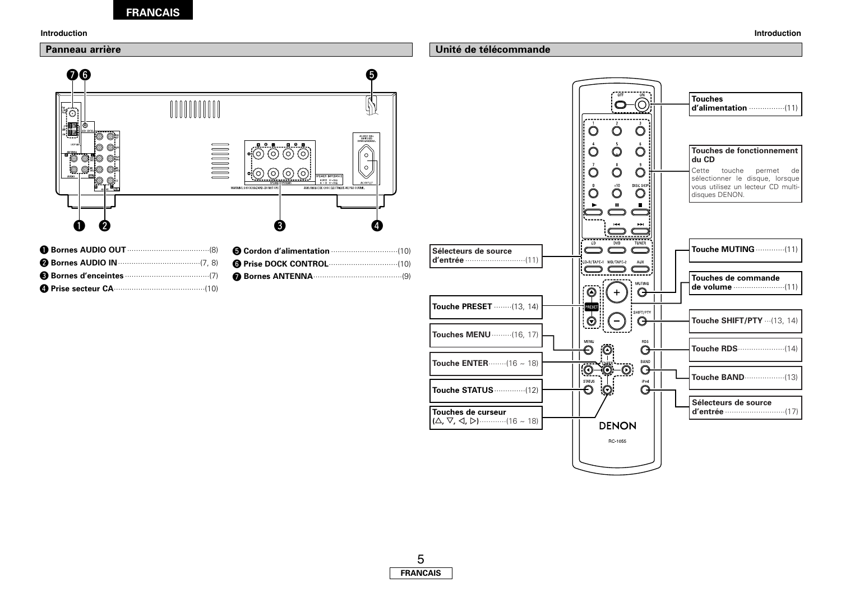



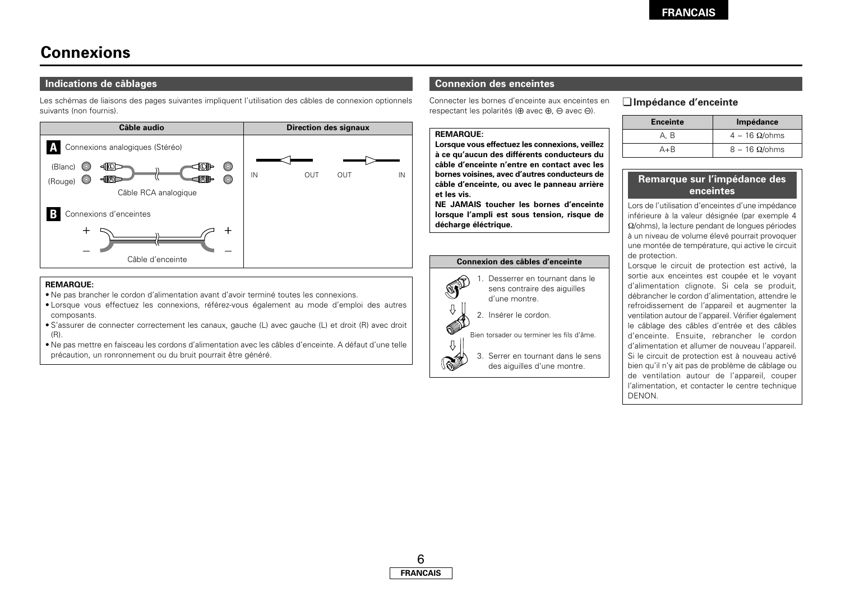# **Connexions**

## **Indications de câblages**

Les schémas de liaisons des pages suivantes impliquent l'utilisation des câbles de connexion optionnels suivants (non fournis).



#### **REMARQUE:**

- Ne pas brancher le cordon d'alimentation avant d'avoir terminé toutes les connexions.
- Lorsque vous effectuez les connexions, référez-vous également au mode d'emploi des autres composants.
- S'assurer de connecter correctement les canaux, gauche (L) avec gauche (L) et droit (R) avec droit  $(R)$ .
- Ne pas mettre en faisceau les cordons d'alimentation avec les câbles d'enceinte. A défaut d'une telle précaution, un ronronnement ou du bruit pourrait être généré.

## **Connexion des enceintes**

Connecter les bornes d'enceinte aux enceintes en respectant les polarités ( $\oplus$  avec  $\oplus$ ).  $\ominus$  avec  $\ominus$ ).

#### **REMARQUE:**

**Lorsque vous effectuez les connexions, veillez à ce qu'aucun des différents conducteurs du câble d'enceinte n'entre en contact avec les bornes voisines, avec d'autres conducteurs de câble d'enceinte, ou avec le panneau arrière et les vis.**

**NE JAMAIS toucher les bornes d'enceinte lorsque l'ampli est sous tension, risque de décharge éléctrique.**

#### **Connexion des câbles d'enceinte**



e.<br>G

3. Serrer en tournant dans le sens des aiguilles d'une montre.

# ¢**Impédance d'enceinte**

| <b>Enceinte</b> | Impédance                  |
|-----------------|----------------------------|
| A, B            | $4 \sim 16$ $\Omega$ /ohms |
| A+R             | $8 \sim 16$ $\Omega$ /ohms |

# **Remarque sur l'impédance des enceintes**

Lors de l'utilisation d'enceintes d'une impédance inférieure à la valeur désignée (par exemple 4 Ω/ohms), la lecture pendant de longues périodes à un niveau de volume élevé pourrait provoquer une montée de température, qui active le circuit de protection.

Lorsque le circuit de protection est activé, la sortie aux enceintes est coupée et le voyant d'alimentation clignote. Si cela se produit, débrancher le cordon d'alimentation, attendre le refroidissement de l'appareil et augmenter la ventilation autour de l'appareil. Vérifier également le câblage des câbles d'entrée et des câbles d'enceinte. Ensuite, rebrancher le cordon d'alimentation et allumer de nouveau l'appareil. Si le circuit de protection est à nouveau activé bien qu'il n'y ait pas de problème de câblage ou de ventilation autour de l'appareil, couper l'alimentation, et contacter le centre technique DENON.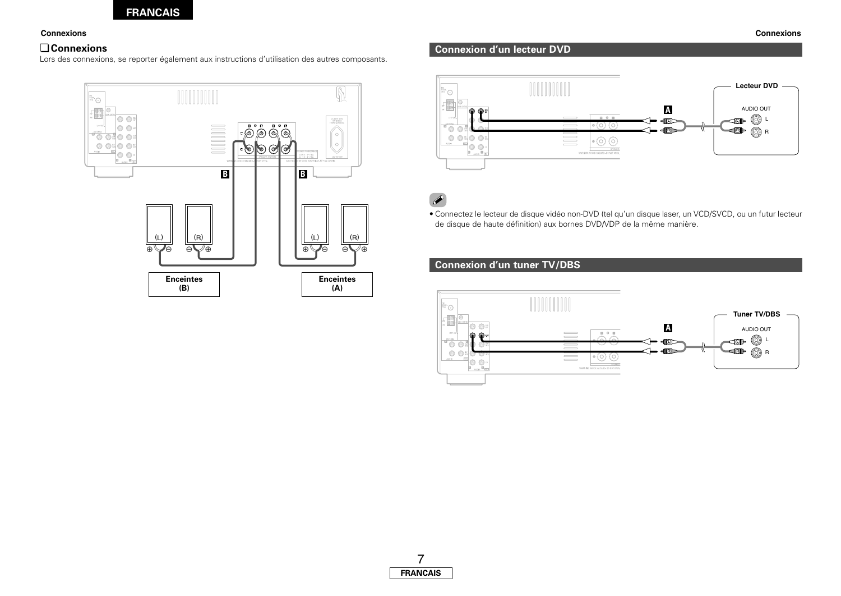## ¢**Connexions**

Lors des connexions, se reporter également aux instructions d'utilisation des autres composants.



# **Connexion d'un lecteur DVD**



 $\overline{\mathscr{L}}$ 

• Connectez le lecteur de disque vidéo non-DVD (tel qu'un disque laser, un VCD/SVCD, ou un futur lecteur de disque de haute définition) aux bornes DVD/VDP de la même manière.

# **Connexion d'un tuner TV/DBS**

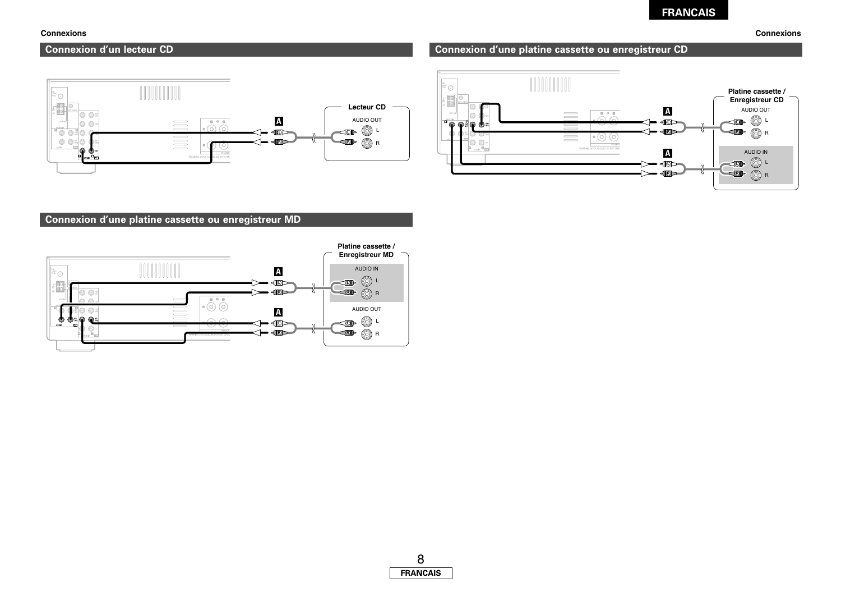# **Connexion d'un lecteur CD**



# စေ  $\frac{1}{\sqrt{2}}$ 10

**Connexion d'une platine cassette ou enregistreur CD**







#### **Connexions Connexions**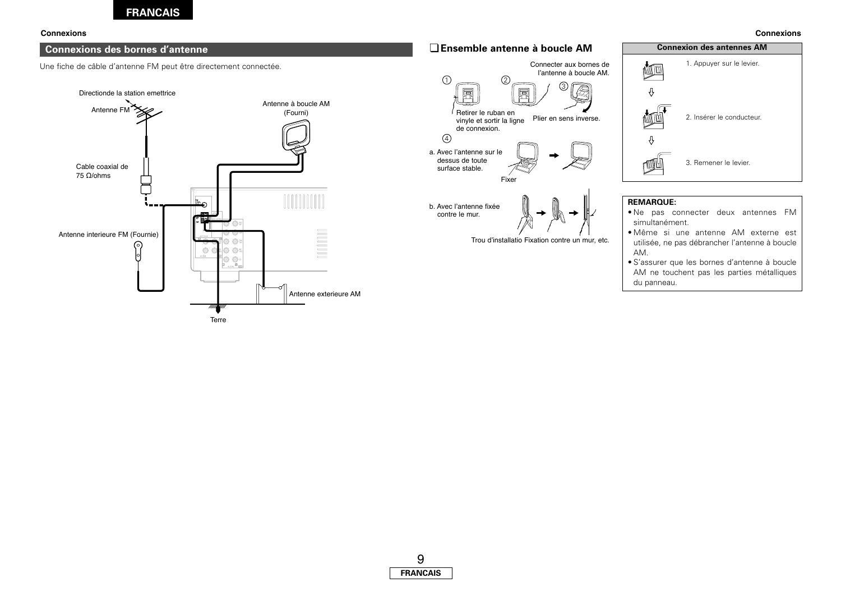## **Connexions des bornes d'antenne**

Une fiche de câble d'antenne FM peut être directement connectée.





#### **Connexions Connexions**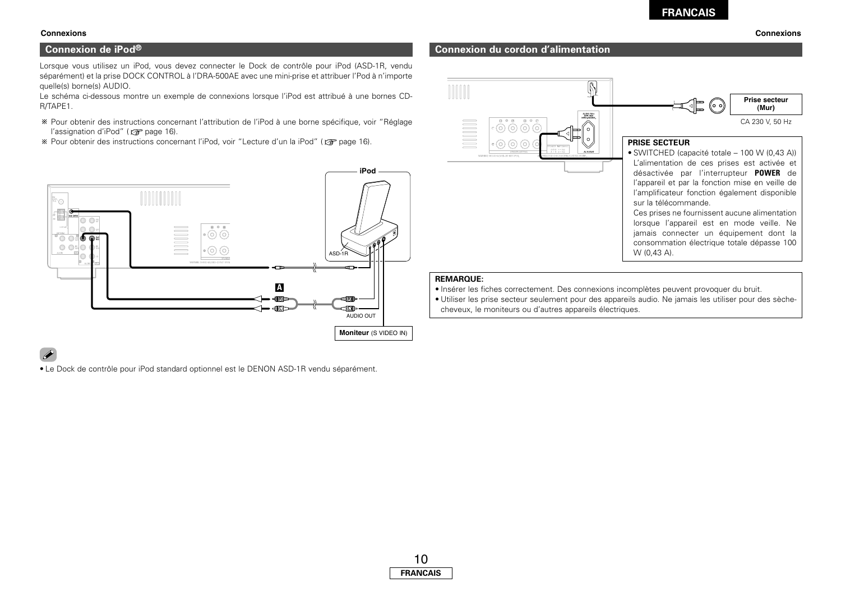### **Connexion de iPod®**

Lorsque vous utilisez un iPod, vous devez connecter le Dock de contrôle pour iPod (ASD-1R, vendu séparément) et la prise DOCK CONTROL à l'DRA-500AE avec une mini-prise et attribuer l'Pod à n'importe quelle(s) borne(s) AUDIO.

Le schéma ci-dessous montre un exemple de connexions lorsque l'iPod est attribué à une bornes CD-R/TAPE1.

- Pour obtenir des instructions concernant l'attribution de l'iPod à une borne spécifique, voir "Réglage l'assignation d'iPod" (☞ page 16).
- **EXECT OF STARF ASSET IN STARF IN STARF IN STARF ISSUES** Pour obtenir des instructs. Not extend to lead the page 16).



# $\overline{\mathscr{L}}$

• Le Dock de contrôle pour iPod standard optionnel est le DENON ASD-1R vendu séparément.

#### Ŋ **Prise secteur** ((ං ං) **(Mur)** AC220V SERV<br>SWITCHED<br>DON'D ESLIMA CA 230 V, 50 Hz  $\overline{O}$  $\overline{O}$  $\overline{O}$ **PRISE SECTEUR**  $\odot$   $\odot$   $\odot$ • SWITCHED (capacité totale – 100 W (0,43 A)) L'alimentation de ces prises est activée et désactivée par l'interrupteur **POWER** de l'appareil et par la fonction mise en veille de l'amplificateur fonction également disponible sur la télécommande. Ces prises ne fournissent aucune alimentation lorsque l'appareil est en mode veille. Ne jamais connecter un équipement dont la consommation électrique totale dépasse 100 W (0,43 A).

#### **REMARQUE:**

• Insérer les fiches correctement. Des connexions incomplètes peuvent provoquer du bruit.

• Utiliser les prise secteur seulement pour des appareils audio. Ne jamais les utiliser pour des sèchecheveux, le moniteurs ou d'autres appareils électriques.

# **Connexion du cordon d'alimentation**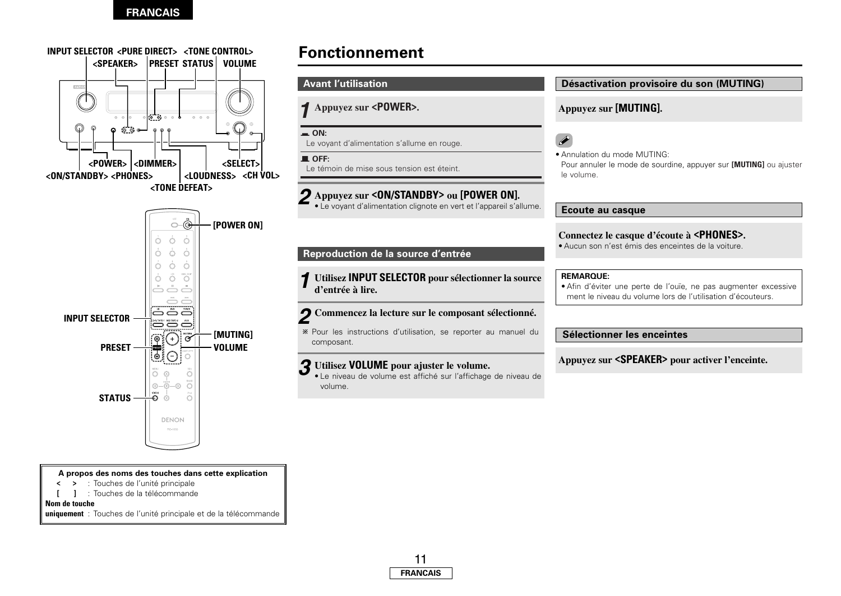

**A propos des noms des touches dans cette explication**

- **<sup>&</sup>lt; <sup>&</sup>gt;** : Touches de l'unité principale
- **[ ]** : Touches de la télécommande

**Nom de touche** 

**uniquement** : Touches de l'unité principale et de la télécommande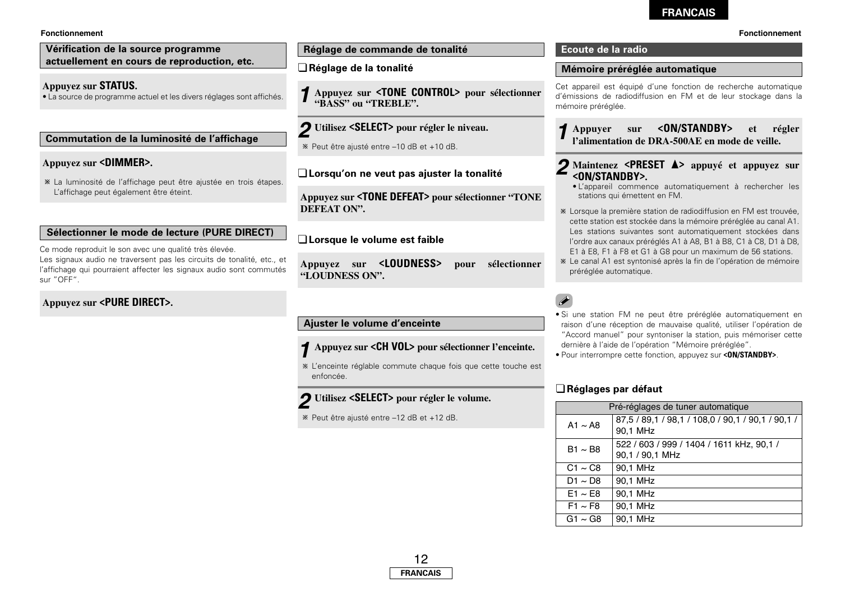#### **Fonctionnement**

#### **Vérification de la source programme actuellement en cours de reproduction, etc.**

#### **Appuyez sur STATUS.**

• La source de programme actuel et les divers réglages sont affichés.

#### **Commutation de la luminosité de l'affichage**

### **Appuyez sur <DIMMER>.**

La luminosité de l'affichage peut être ajustée en trois étapes. L'affichage peut également être éteint.

#### **Sélectionner le mode de lecture (PURE DIRECT)**

Ce mode reproduit le son avec une qualité très élevée. Les signaux audio ne traversent pas les circuits de tonalité, etc., et l'affichage qui pourraient affecter les signaux audio sont commutés sur "OFF".

## **Appuyez sur <PURE DIRECT>.**

#### **Réglage de commande de tonalité**

#### ¢**Réglage de la tonalité**

**Appuyez sur <TONE CONTROL> pour sélectionner** *1* **"BASS" ou "TREBLE".**

# **Utilisez <SELECT> pour régler le niveau.** *2*

Peut être ajusté entre –10 dB et +10 dB.

#### ¢**Lorsqu'on ne veut pas ajuster la tonalité**

**Appuyez sur <TONE DEFEAT> pour sélectionner "TONE DEFEAT ON".**

### ¢**Lorsque le volume est faible**

**Appuyez sur <LOUDNESS> pour sélectionner "LOUDNESS ON".**

# **Ajuster le volume d'enceinte**

#### **Appuyez sur <CH VOL> pour sélectionner l'enceinte.** *1*

L'enceinte réglable commute chaque fois que cette touche est enfoncée.

#### **Utilisez <SELECT> pour régler le volume.** *2*

Peut être ajusté entre –12 dB et +12 dB.

## **Ecoute de la radio**

#### **Mémoire préréglée automatique**

Cet appareil est équipé d'une fonction de recherche automatique d'émissions de radiodiffusion en FM et de leur stockage dans la mémoire préréglée.

# **Appuyer sur <ON/STANDBY> et régler** *1* **l'alimentation de DRA-500AE en mode de veille.**

#### **Maintenez <PRESET**  $\triangle$ **>** appuyé et appuyez sur **<ON/STANDBY>.** *2*

- L'appareil commence automatiquement à rechercher les stations qui émettent en FM.
- Lorsque la première station de radiodiffusion en FM est trouvée, cette station est stockée dans la mémoire préréglée au canal A1. Les stations suivantes sont automatiquement stockées dans l'ordre aux canaux préréglés A1 à A8, B1 à B8, C1 à C8, D1 à D8, E1 à E8, F1 à F8 et G1 à G8 pour un maximum de 56 stations.
- Le canal A1 est syntonisé après la fin de l'opération de mémoire préréglée automatique.

# $\overline{\mathscr{E}}$

- Si une station FM ne peut être préréglée automatiquement en raison d'une réception de mauvaise qualité, utiliser l'opération de "Accord manuel" pour syntoniser la station, puis mémoriser cette dernière à l'aide de l'opération "Mémoire préréglée".
- Pour interrompre cette fonction, appuyez sur **<ON/STANDBY>**.

### ¢**Réglages par défaut**

| Pré-réglages de tuner automatique    |                                                               |  |
|--------------------------------------|---------------------------------------------------------------|--|
| A1 $\sim$ A8                         | 87,5 / 89,1 / 98,1 / 108,0 / 90,1 / 90,1 / 90,1 /<br>90.1 MHz |  |
| $B1 \sim B8$                         | 522 / 603 / 999 / 1404 / 1611 kHz, 90,1 /<br>90,1 / 90,1 MHz  |  |
| $C1 \sim C8$                         | 90.1 MHz                                                      |  |
| D <sub>1</sub> $\sim$ D <sub>8</sub> | 90.1 MHz                                                      |  |
| $E1 \sim E8$                         | 90.1 MHz                                                      |  |
| $F1 \sim F8$                         | 90.1 MHz                                                      |  |
| G1 $\sim$ G8                         | 90.1 MHz                                                      |  |

#### **Fonctionnement**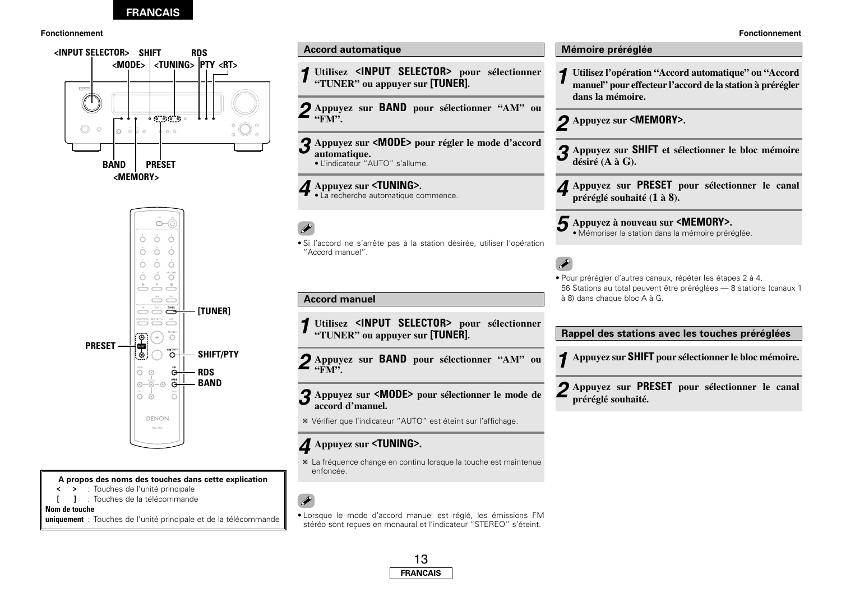

**A propos des noms des touches dans cette explication**

- **<sup>&</sup>lt; <sup>&</sup>gt;** : Touches de l'unité principale
- **[ ]** : Touches de la télécommande

**Nom de touche** 

**uniquement** : Touches de l'unité principale et de la télécommande

**Fonctionnement Fonctionnement Utilisez <INPUT SELECTOR> pour sélectionner "TUNER" ou appuyer sur [TUNER]. Accord automatique Accord manuel Appuyez sur <MODE> pour régler le mode d'accord automatique.** • L'indicateur "AUTO" s'allume. **Appuyez sur <TUNING>.** • La recherche automatique commence. • Si l'accord ne s'arrête pas à la station désirée, utiliser l'opération "Accord manuel". **Utilisez <INPUT SELECTOR> pour sélectionner "TUNER" ou appuyer sur [TUNER]. Appuyez sur <MODE> pour sélectionner le mode de** *3* **accord d'manuel.** Vérifier que l'indicateur "AUTO" est éteint sur l'affichage. **Appuyez sur BAND pour sélectionner "AM" ou "FM". Appuyez sur BAND pour sélectionner "AM" ou** *2* **"FM".** *3 4 2* **dans la mémoire. Appuyez sur <MEMORY>. préréglé souhaité (1 à 8). Mémoire préréglée désiré (A à G).** *1 2* à 8) dans chaque bloc A à G. **préréglé souhaité.**

# **Appuyez sur <TUNING>.** *4*

*1*

*1*

La fréquence change en continu lorsque la touche est maintenue enfoncée.

• Lorsque le mode d'accord manuel est réglé, les émissions FM stéréo sont reçues en monaural et l'indicateur "STEREO" s'éteint.



- **Utilisez l'opération "Accord automatique" ou "Accord manuel" pour effecteur l'accord de la station à prérégler**
- **Appuyez sur SHIFT et sélectionner le bloc mémoire** *3*
- **Appuyez sur PRESET pour sélectionner le canal** *4*
- **Appuyez à nouveau sur <MEMORY>.** *5* • Mémoriser la station dans la mémoire préréglée.
- Pour prérégler d'autres canaux, répéter les étapes 2 à 4. 56 Stations au total peuvent être préréglées — 8 stations (canaux 1

**Rappel des stations avec les touches préréglées**

**Appuyez sur SHIFT pour sélectionner le bloc mémoire.** *1*

**Appuyez sur PRESET pour sélectionner le canal** *2*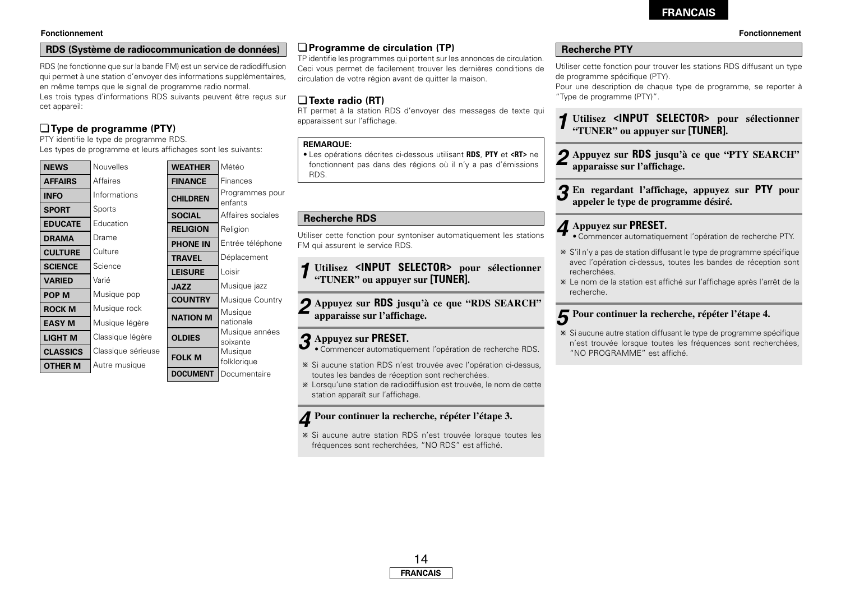### **RDS (Système de radiocommunication de données)**

RDS (ne fonctionne que sur la bande FM) est un service de radiodiffusion qui permet à une station d'envoyer des informations supplémentaires, en même temps que le signal de programme radio normal. Les trois types d'informations RDS suivants peuvent être reçus sur cet appareil:

# ¢**Type de programme (PTY)**

PTY identifie le type de programme RDS.

Les types de programme et leurs and

| <b>NEWS</b>     | Nouvelles          |
|-----------------|--------------------|
| <b>AFFAIRS</b>  | Affaires           |
| <b>INFO</b>     | Informations       |
| <b>SPORT</b>    | Sports             |
| <b>EDUCATE</b>  | Education          |
| <b>DRAMA</b>    | Drame              |
| <b>CULTURE</b>  | Culture            |
| <b>SCIENCE</b>  | Science            |
| <b>VARIED</b>   | Varié              |
| <b>POP M</b>    | Musique pop        |
| <b>ROCK M</b>   | Musique rock       |
| <b>EASY M</b>   | Musique légère     |
| LIGHT M         | Classique légère   |
| <b>CLASSICS</b> | Classique sérieuse |
| <b>OTHER M</b>  | Autre musique      |
|                 |                    |

| attichages sont les suivants: |                 |                            |
|-------------------------------|-----------------|----------------------------|
|                               | <b>WEATHER</b>  | Météo                      |
|                               | <b>FINANCE</b>  | Finances                   |
|                               | <b>CHILDREN</b> | Programmes pour<br>enfants |
|                               | <b>SOCIAL</b>   | Affaires sociales          |
|                               | <b>RELIGION</b> | Religion                   |
|                               | <b>PHONE IN</b> | Entrée téléphone           |
|                               | <b>TRAVEL</b>   | Déplacement                |
|                               | <b>LEISURE</b>  | Loisir                     |
|                               | <b>JAZZ</b>     | Musique jazz               |
|                               | <b>COUNTRY</b>  | <b>Musique Country</b>     |
|                               | <b>NATION M</b> | Musique<br>nationale       |
|                               | <b>OLDIES</b>   | Musique années<br>soixante |
|                               | <b>FOLK M</b>   | Musique<br>folklorique     |
|                               | <b>DOCUMENT</b> | Documentaire               |

# ¢**Programme de circulation (TP)**

TP identifie les programmes qui portent sur les annonces de circulation. Ceci vous permet de facilement trouver les dernières conditions de circulation de votre région avant de quitter la maison.

# ¢**Texte radio (RT)**

RT permet à la station RDS d'envoyer des messages de texte qui apparaissent sur l'affichage.

#### **REMARQUE:**

• Les opérations décrites ci-dessous utilisant **RDS**, **PTY** et **<RT>** ne fonctionnent pas dans des régions où il n'y a pas d'émissions RDS.

### **Recherche RDS**

Utiliser cette fonction pour syntoniser automatiquement les stations FM qui assurent le service RDS.

**Utilisez <INPUT SELECTOR> pour sélectionner "TUNER" ou appuyer sur [TUNER].** *1*

**Appuyez sur RDS jusqu'à ce que "RDS SEARCH"** *2* **apparaisse sur l'affichage.**

# **Appuyez sur PRESET.** *3*

- Commencer automatiquement l'opération de recherche RDS.
- Si aucune station RDS n'est trouvée avec l'opération ci-dessus, toutes les bandes de réception sont recherchées.
- Lorsqu'une station de radiodiffusion est trouvée, le nom de cette station apparaît sur l'affichage.

**Pour continuer la recherche, répéter l'étape 3.** *4*

Si aucune autre station RDS n'est trouvée lorsque toutes les fréquences sont recherchées, "NO RDS" est affiché.

## **Recherche PTY**

Utiliser cette fonction pour trouver les stations RDS diffusant un type de programme spécifique (PTY).

Pour une description de chaque type de programme, se reporter à "Type de programme (PTY)".

**Utilisez <INPUT SELECTOR> pour sélectionner "TUNER" ou appuyer sur [TUNER].** *1*

**Appuyez sur RDS jusqu'à ce que "PTY SEARCH"** *2* **apparaisse sur l'affichage.**

 $\mathbf{3}$  En regardant l'affichage, appuyez sur **PTY** pour appeler le type de programme désiré.

# **Appuyez sur PRESET.** *4*

- Commencer automatiquement l'opération de recherche PTY.
- S'il n'y a pas de station diffusant le type de programme spécifique avec l'opération ci-dessus, toutes les bandes de réception sont recherchées.
- Le nom de la station est affiché sur l'affichage après l'arrêt de la recherche.

# $\boldsymbol{\mathcal{F}}$  Pour continuer la recherche, répéter l'étape 4.

Si aucune autre station diffusant le type de programme spécifique <sup>n</sup>'est trouvée lorsque toutes les fréquences sont recherchées, "NO PROGRAMME" est affiché.

#### **Fonctionnement Fonctionnement**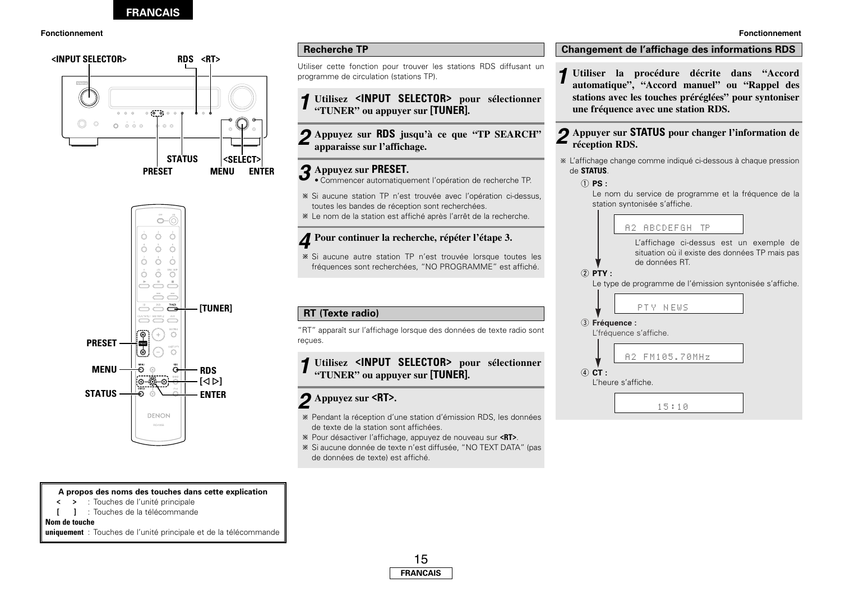#### **Fonctionnement Fonctionnement**





#### **A propos des noms des touches dans cette explication**

- **<sup>&</sup>lt; <sup>&</sup>gt;** : Touches de l'unité principale
- **[ ]** : Touches de la télécommande

#### **Nom de touche**

**uniquement** : Touches de l'unité principale et de la télécommande

## **Recherche TP**

Utiliser cette fonction pour trouver les stations RDS diffusant un programme de circulation (stations TP).

**Utilisez <INPUT SELECTOR> pour sélectionner "TUNER" ou appuyer sur [TUNER].** *1*

**Appuyez sur RDS jusqu'à ce que "TP SEARCH" apparaisse sur l'affichage.** *2*

# **Appuyez sur PRESET.** *3*

• Commencer automatiquement l'opération de recherche TP.

Si aucune station TP n'est trouvée avec l'opération ci-dessus, toutes les bandes de réception sont recherchées.

Le nom de la station est affiché après l'arrêt de la recherche.

# **Pour continuer la recherche, répéter l'étape 3.** *4*

Si aucune autre station TP n'est trouvée lorsque toutes les fréquences sont recherchées, "NO PROGRAMME" est affiché.

# **RT (Texte radio)**

"RT" apparaît sur l'affichage lorsque des données de texte radio sont reçues.

#### **Utilisez <INPUT SELECTOR> pour sélectionner "TUNER" ou appuyer sur [TUNER].** *1*

# **Appuyez sur <RT>.** *2*

- Pendant la réception d'une station d'émission RDS, les données de texte de la station sont affichées.
- Pour désactiver l'affichage, appuyez de nouveau sur **<RT>**.
- Si aucune donnée de texte n'est diffusée, "NO TEXT DATA" (pas de données de texte) est affiché.

### **Changement de l'affichage des informations RDS**

**Utiliser la procédure décrite dans "Accord automatique", "Accord manuel" ou "Rappel des stations avec les touches préréglées" pour syntoniser une fréquence avec une station RDS.** *1*

## **Appuyer sur STATUS pour changer l'information de** *2* **réception RDS.**

L'affichage change comme indiqué ci-dessous à chaque pression de **STATUS**.

#### $\circledcirc$  **PS**  $\cdot$

Le nom du service de programme et la fréquence de la station syntonisée s'affiche.

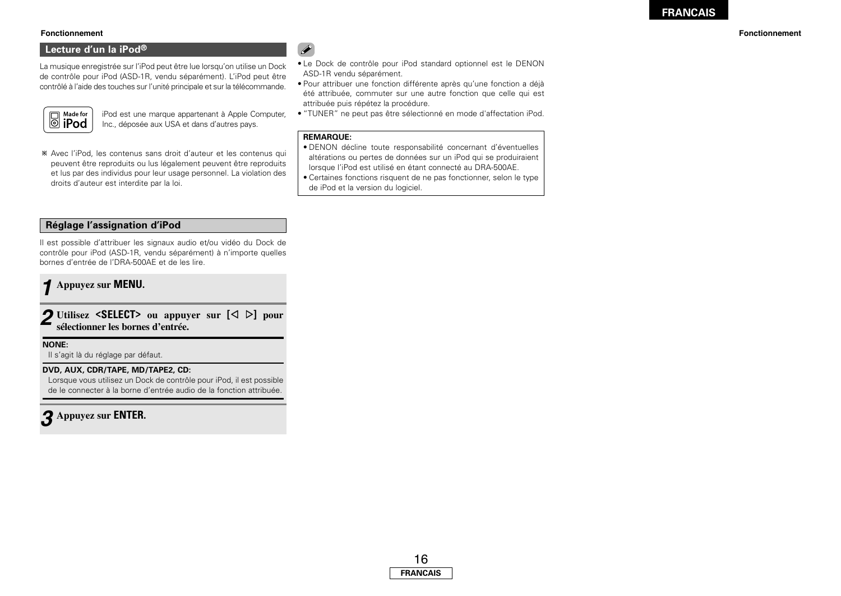#### **Fonctionnement Fonctionnement**

### **Lecture d'un la iPod®**

La musique enregistrée sur l'iPod peut être lue lorsqu'on utilise un Dock de contrôle pour iPod (ASD-1R, vendu séparément). L'iPod peut être contrôlé à l'aide des touches sur l'unité principale et sur la télécommande.



iPod est une marque appartenant à Apple Computer, Inc., déposée aux USA et dans d'autres pays.

Avec l'iPod, les contenus sans droit d'auteur et les contenus qui peuvent être reproduits ou lus légalement peuvent être reproduits et lus par des individus pour leur usage personnel. La violation des droits d'auteur est interdite par la loi.

- $\rightarrow$
- Le Dock de contrôle pour iPod standard optionnel est le DENON ASD-1R vendu séparément.
- Pour attribuer une fonction différente après qu'une fonction a déjà été attribuée, commuter sur une autre fonction que celle qui est attribuée puis répétez la procédure.
- "TUNER" ne peut pas être sélectionné en mode d'affectation iPod.

#### **REMARQUE:**

- DENON décline toute responsabilité concernant d'éventuelles altérations ou pertes de données sur un iPod qui se produiraient lorsque l'iPod est utilisé en étant connecté au DRA-500AE.
- Certaines fonctions risquent de ne pas fonctionner, selon le type de iPod et la version du logiciel.

### **Réglage l'assignation d'iPod**

Il est possible d'attribuer les signaux audio et/ou vidéo du Dock de contrôle pour iPod (ASD-1R, vendu séparément) à n'importe quelles bornes d'entrée de l'DRA-500AE et de les lire.

# **Appuyez sur MENU.** *1*

2 Utilisez <SELECT> ou appuyer sur  $[\triangle]$  pour **sélectionner les bornes d'entrée.**

#### **NONE:**

Il s'agit là du réglage par défaut.

#### **DVD, AUX, CDR/TAPE, MD/TAPE2, CD:**

Lorsque vous utilisez un Dock de contrôle pour iPod, il est possible de le connecter à la borne d'entrée audio de la fonction attribuée.

# **Appuyez sur ENTER.** *3*

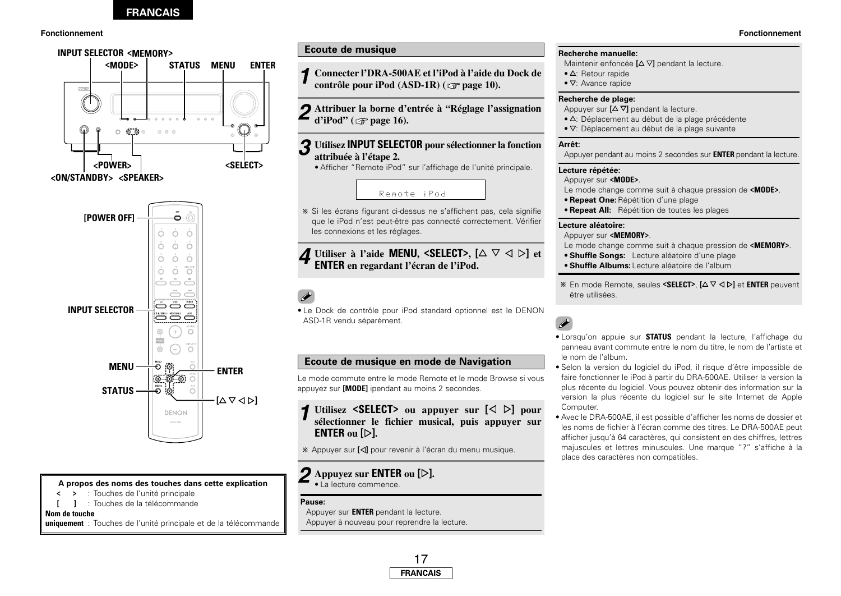

#### **A propos des noms des touches dans cette explication**

- **<sup>&</sup>lt; <sup>&</sup>gt;** : Touches de l'unité principale
- **[ ]** : Touches de la télécommande

#### **Nom de touche**

**uniquement** : Touches de l'unité principale et de la télécommande

# **Ecoute de musique**

- **Connecter l'DRA-500AE et l'iPod à l'aide du Dock de** *1* **contrôle pour iPod (ASD-1R) ( page 10).**
- **Attribuer la borne d'entrée à "Réglage l'assignation** *2* **d'iPod" ( page 16).**

#### **Utilisez INPUT SELECTOR pour sélectionner la fonction attribuée à l'étape 2.** *3*

• Afficher "Remote iPod" sur l'affichage de l'unité principale.

# Remote iPod

Si les écrans figurant ci-dessus ne s'affichent pas, cela signifie que le iPod n'est peut-être pas connecté correctement. Vérifier les connexions et les réglages.

# **Utiliser** à l'aide **MENU**, **<SELECT**>,  $[\triangle \triangledown \triangle \triangledown]$  et **ENTER** en regardant l'écran de l'iPod.

• Le Dock de contrôle pour iPod standard optionnel est le DENON ASD-1R vendu séparément.

# **Ecoute de musique en mode de Navigation**

Le mode commute entre le mode Remote et le mode Browse si vous appuyez sur **[MODE]** ipendant au moins 2 secondes.

**Utilisez <SELECT>** ou appuyer sur  $[\triangle]$   $\triangleright]$  pour **sélectionner le fichier musical, puis appuyer sur ENTER ou [**G**].** *1*

Appuyer sur **[**F**]** pour revenir à l'écran du menu musique.

#### **Appuyez sur ENTER ou [**G**].** • La lecture commence. *2*

#### **Pause:**

Appuyer sur **ENTER** pendant la lecture. Appuyer à nouveau pour reprendre la lecture.

# **FRANCAIS** 17

#### **Recherche manuelle:**

- **Maintenir enfoncée <b>[**△∇] pendant la lecture.
- $\Delta$ : Retour rapide
- $\nabla$ : Avance rapide

#### **Recherche de plage:**

Appuyer sur  $[\Delta \nabla]$  pendant la lecture.

- $\bullet$   $\Delta$ : Déplacement au début de la plage précédente
- $\bullet$   $\nabla$ : Déplacement au début de la plage suivante

#### **Arrêt:**

Appuyer pendant au moins 2 secondes sur **ENTER** pendant la lecture.

#### **Lecture répétée:**

#### Appuyer sur **<MODE>**.

Le mode change comme suit à chaque pression de **<MODE>**.

- **Repeat One:**Répétition d'une plage
- **Repeat All:** Répétition de toutes les plages

#### **Lecture aléatoire:**

Appuyer sur **<MEMORY>**.

- Le mode change comme suit à chaque pression de **<MEMORY>**.
- **Shuffle Songs:** Lecture aléatoire d'une plage
- **Shuffle Albums:** Lecture aléatoire de l'album
- <sup>※</sup> En mode Remote, seules <SELECT>, [△▽ < D] et ENTER peuvent être utilisées.

# $\overline{\bullet}$

- Lorsqu'on appuie sur **STATUS** pendant la lecture, l'affichage du panneau avant commute entre le nom du titre, le nom de l'artiste et le nom de l'album.
- Selon la version du logiciel du iPod, il risque d'être impossible de faire fonctionner le iPod à partir du DRA-500AE. Utiliser la version la plus récente du logiciel. Vous pouvez obtenir des information sur la version la plus récente du logiciel sur le site Internet de Apple Computer.
- Avec le DRA-500AE, il est possible d'afficher les noms de dossier et les noms de fichier à l'écran comme des titres. Le DRA-500AE peut afficher jusqu'à 64 caractères, qui consistent en des chiffres, lettres majuscules et lettres minuscules. Une marque "?" s'affiche à la place des caractères non compatibles.

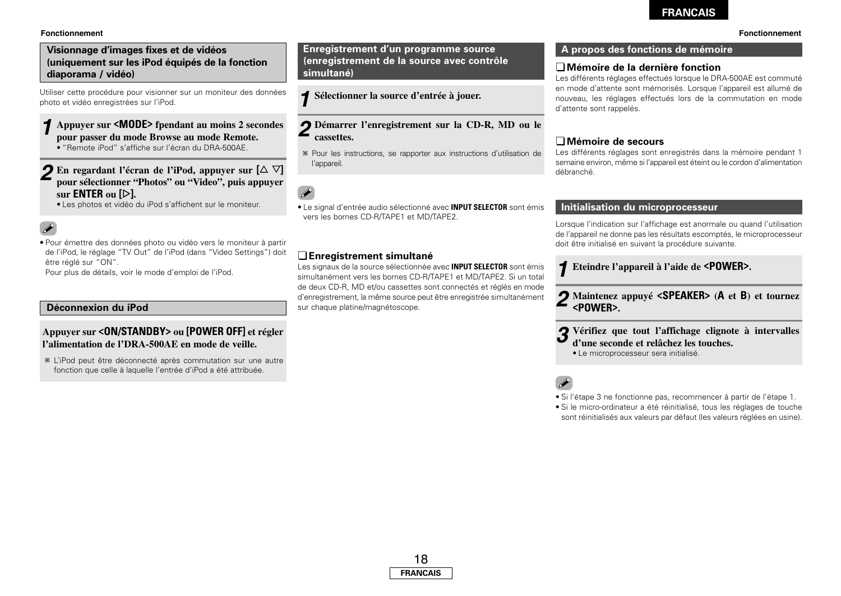#### **Fonctionnement Fonctionnement**

### **Visionnage d'images fixes et de vidéos (uniquement sur les iPod équipés de la fonction diaporama / vidéo)**

Utiliser cette procédure pour visionner sur un moniteur des données photo et vidéo enregistrées sur l'iPod.

#### **Appuyer sur <MODE> fpendant au moins 2 secondes pour passer du mode Browse au mode Remote.** • "Remote iPod" s'affiche sur l'écran du DRA-500AE. *1*

## **2** En regardant l'écran de l'iPod, appuyer sur  $[\triangle \triangledown]$ **pour sélectionner "Photos" ou "Video", puis appuyer sur ENTER ou [**G**].**

• Les photos et vidéo du iPod s'affichent sur le moniteur.

# $\bullet$

• Pour émettre des données photo ou vidéo vers le moniteur à partir de l'iPod, le réglage "TV Out" de l'iPod (dans "Video Settings") doit être réglé sur "ON".

Pour plus de détails, voir le mode d'emploi de l'iPod.

### **Déconnexion du iPod**

# **Appuyer sur <ON/STANDBY> ou [POWER OFF] et régler l'alimentation de l'DRA-500AE en mode de veille.**

L'iPod peut être déconnecté après commutation sur une autre fonction que celle à laquelle l'entrée d'iPod a été attribuée.

**Enregistrement d'un programme source A propos des fonctions de mémoire (enregistrement de la source avec contrôle simultané)**

**Sélectionner la source d'entrée à jouer.** *1*

- **Démarrer l'enregistrement sur la CD-R, MD ou le** *2* **cassettes.**
- Pour les instructions, se rapporter aux instructions d'utilisation de l'appareil.

 $\overline{\mathscr{E}}$ 

• Le signal d'entrée audio sélectionné avec **INPUT SELECTOR** sont émis vers les bornes CD-R/TAPE1 et MD/TAPE2.

### ¢**Enregistrement simultané**

Les signaux de la source sélectionnée avec **INPUT SELECTOR** sont émis simultanément vers les bornes CD-R/TAPE1 et MD/TAPE2. Si un total de deux CD-R, MD et/ou cassettes sont connectés et réglés en mode d'enregistrement, la même source peut être enregistrée simultanément sur chaque platine/magnétoscope.

### ¢**Mémoire de la dernière fonction**

Les différents réglages effectués lorsque le DRA-500AE est commuté en mode d'attente sont mémorisés. Lorsque l'appareil est allumé de nouveau, les réglages effectués lors de la commutation en mode d'attente sont rappelés.

#### ¢**Mémoire de secours**

Les différents réglages sont enregistrés dans la mémoire pendant 1 semaine environ, même si l'appareil est éteint ou le cordon d'alimentation débranché.

# **Initialisation du microprocesseur**

Lorsque l'indication sur l'affichage est anormale ou quand l'utilisation de l'appareil ne donne pas les résultats escomptés, le microprocesseur doit être initialisé en suivant la procédure suivante.

**Eteindre l'appareil à l'aide de <POWER>.** *1*

**Maintenez appuyé <SPEAKER> (<sup>A</sup> et B) et tournez** *2* **<POWER>.**

**Vérifiez que tout l'affichage clignote à intervalles d'une seconde et relâchez les touches.** *3*

• Le microprocesseur sera initialisé.

 $\overline{\mathscr{E}}$ 

• Si l'étape 3 ne fonctionne pas, recommencer à partir de l'étape 1.

• Si le micro-ordinateur a été réinitialisé, tous les réglages de touche sont réinitialisés aux valeurs par défaut (les valeurs réglées en usine).

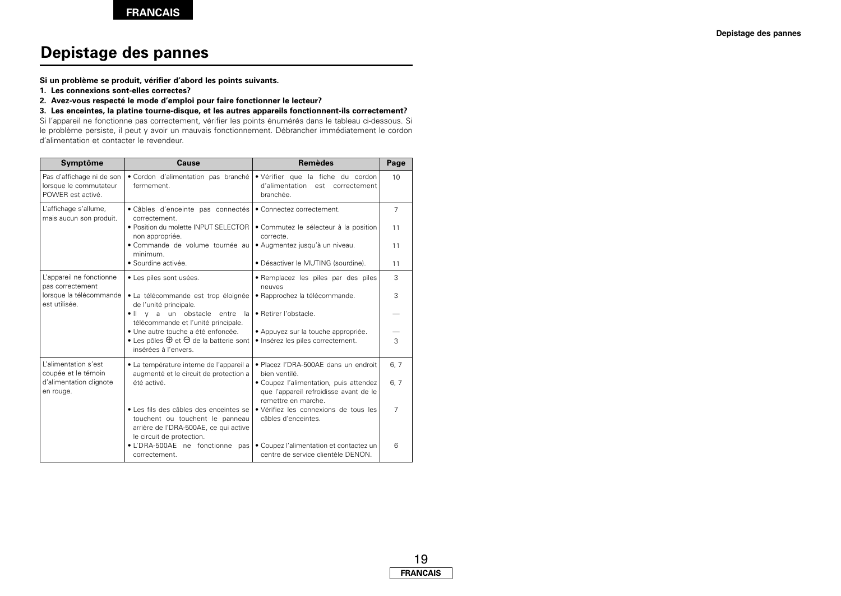# **Depistage des pannes**

**Si un problème se produit, vérifier d'abord les points suivants.**

- **1. Les connexions sont-elles correctes?**
- **2. Avez-vous respecté le mode d'emploi pour faire fonctionner le lecteur?**

**3. Les enceintes, la platine tourne-disque, et les autres appareils fonctionnent-ils correctement?**

Si l'appareil ne fonctionne pas correctement, vérifier les points énumérés dans le tableau ci-dessous. Si le problème persiste, il peut y avoir un mauvais fonctionnement. Débrancher immédiatement le cordon d'alimentation et contacter le revendeur.

| Symptôme                                                                 | <b>Cause</b>                                                                                                       | <b>Remèdes</b>                                                                                          | Page           |
|--------------------------------------------------------------------------|--------------------------------------------------------------------------------------------------------------------|---------------------------------------------------------------------------------------------------------|----------------|
| Pas d'affichage ni de son<br>lorsque le commutateur<br>POWER est activé. | · Cordon d'alimentation pas branché<br>fermement.                                                                  | · Vérifier que la fiche du cordon<br>d'alimentation est correctement<br>branchée.                       |                |
| L'affichage s'allume,<br>mais aucun son produit.                         | · Câbles d'enceinte pas connectés<br>correctement.                                                                 | • Connectez correctement.                                                                               | $\overline{7}$ |
|                                                                          | • Position du molette INPUT SELECTOR<br>non appropriée.                                                            | • Commutez le sélecteur à la position<br>correcte.                                                      | 11             |
|                                                                          | · Commande de volume tournée au<br>minimum.                                                                        | · Augmentez jusqu'à un niveau.                                                                          | 11             |
|                                                                          | · Sourdine activée.                                                                                                | · Désactiver le MUTING (sourdine).                                                                      | 11             |
| L'appareil ne fonctionne<br>pas correctement                             | · Les piles sont usées.                                                                                            | · Remplacez les piles par des piles<br>neuves                                                           | 3              |
| lorsque la télécommande<br>est utilisée.                                 | · La télécommande est trop éloignée<br>de l'unité principale.                                                      | · Rapprochez la télécommande.                                                                           | 3              |
|                                                                          | y a un obstacle entre<br>$\bullet$ $\parallel$<br>la<br>télécommande et l'unité principale.                        | · Retirer l'obstacle.                                                                                   |                |
|                                                                          | · Une autre touche a été enfoncée.<br>• Les pôles $\oplus$ et $\ominus$ de la batterie sont                        | · Appuyez sur la touche appropriée.<br>· Insérez les piles correctement.                                | 3              |
|                                                                          | insérées à l'envers.                                                                                               |                                                                                                         |                |
| L'alimentation s'est<br>coupée et le témoin                              | · La température interne de l'appareil a<br>augmenté et le circuit de protection a                                 | • Placez l'DRA-500AE dans un endroit<br>bien ventilé.                                                   | 6, 7           |
| d'alimentation clignote<br>en rouge.                                     | été activé.                                                                                                        | · Coupez l'alimentation, puis attendez<br>que l'appareil refroidisse avant de le<br>remettre en marche. | 6, 7           |
|                                                                          | · Les fils des câbles des enceintes se<br>touchent ou touchent le panneau<br>arrière de l'DRA-500AE, ce qui active | · Vérifiez les connexions de tous les<br>câbles d'enceintes.                                            | $\overline{7}$ |
|                                                                          | le circuit de protection.<br>· L'DRA-500AE ne fonctionne pas<br>correctement.                                      | • Coupez l'alimentation et contactez un<br>centre de service clientèle DENON.                           | 6              |

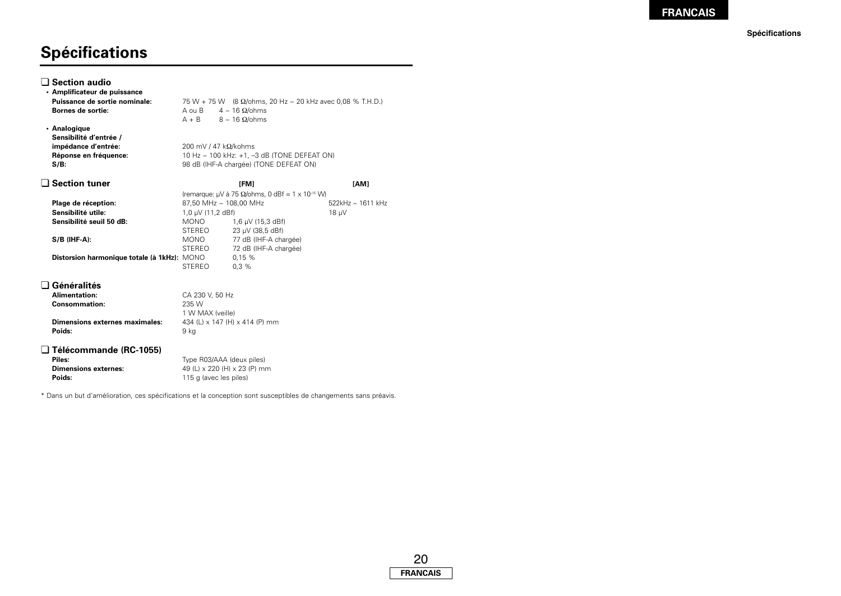**Spécifications**

# **Spécifications**

| $\lrcorner$ Section audio<br>· Amplificateur de puissance |                                                                             |                                                                                                 |                   |
|-----------------------------------------------------------|-----------------------------------------------------------------------------|-------------------------------------------------------------------------------------------------|-------------------|
| Puissance de sortie nominale:<br>Bornes de sortie:        | A ou B                                                                      | 75 W + 75 W (8 $\Omega$ /ohms, 20 Hz ~ 20 kHz avec 0,08 % T.H.D.)<br>$4 \sim 16$ $\Omega$ /ohms |                   |
|                                                           | $A + B$                                                                     | $8 \sim 16$ $\Omega$ /ohms                                                                      |                   |
| • Analogique<br>Sensibilité d'entrée /                    |                                                                             |                                                                                                 |                   |
| impédance d'entrée:                                       |                                                                             |                                                                                                 |                   |
| Réponse en fréquence:                                     | 200 mV / 47 $k\Omega/kohn$ s<br>10 Hz ~ 100 kHz: +1, -3 dB (TONE DEFEAT ON) |                                                                                                 |                   |
| $S/B$ :                                                   | 98 dB (IHF-A chargée) (TONE DEFEAT ON)                                      |                                                                                                 |                   |
|                                                           |                                                                             |                                                                                                 |                   |
| <b>Section tuner</b>                                      |                                                                             | <b>IFM1</b>                                                                                     | [AM]              |
|                                                           |                                                                             | (remarque: $\mu$ V à 75 $\Omega$ /ohms, 0 dBf = 1 x 10 <sup>-15</sup> W)                        |                   |
| Plage de réception:                                       |                                                                             | 87,50 MHz ~ 108,00 MHz                                                                          | 522kHz ~ 1611 kHz |
| Sensibilité utile:                                        | 1,0 µV (11,2 dBf)                                                           |                                                                                                 | 18 uV             |
| Sensibilité seuil 50 dB:                                  | <b>MONO</b>                                                                 | 1,6 µV (15,3 dBf)                                                                               |                   |
|                                                           | <b>STEREO</b>                                                               | 23 µV (38,5 dBf)                                                                                |                   |
| $S/B$ (IHF-A):                                            | MONO                                                                        | 77 dB (IHF-A chargée)                                                                           |                   |
|                                                           | <b>STEREO</b>                                                               | 72 dB (IHF-A chargée)                                                                           |                   |
| Distorsion harmonique totale (à 1kHz): MONO               |                                                                             | 0,15%                                                                                           |                   |
|                                                           | <b>STEREO</b>                                                               | 0.3%                                                                                            |                   |
| Généralités                                               |                                                                             |                                                                                                 |                   |
| Alimentation:                                             | CA 230 V. 50 Hz                                                             |                                                                                                 |                   |
| <b>Consommation:</b>                                      | 235 W                                                                       |                                                                                                 |                   |
|                                                           | 1 W MAX (veille)                                                            |                                                                                                 |                   |
| <b>Dimensions externes maximales:</b>                     | 434 (L) x 147 (H) x 414 (P) mm                                              |                                                                                                 |                   |
| Poids:                                                    | 9 kg                                                                        |                                                                                                 |                   |
| <b>_ Télécommande (RC-1055)</b>                           |                                                                             |                                                                                                 |                   |
| Piles:                                                    |                                                                             | Type R03/AAA (deux piles)                                                                       |                   |
| <b>Dimensions externes:</b>                               | 49 (L) x 220 (H) x 23 (P) mm                                                |                                                                                                 |                   |
| Poids:                                                    | 115 g (avec les piles)                                                      |                                                                                                 |                   |
|                                                           |                                                                             |                                                                                                 |                   |

\* Dans un but d'amélioration, ces spécifications et la conception sont susceptibles de changements sans préavis.